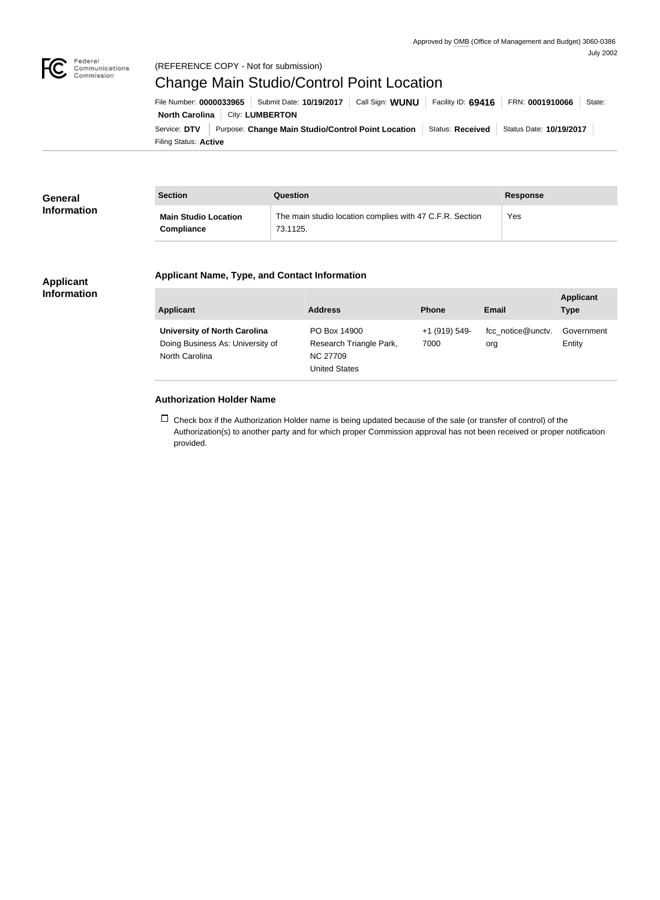

## Federal<br>Communications<br>Commission (REFERENCE COPY - Not for submission)

# Change Main Studio/Control Point Location

Filing Status: **Active** Service: DTV Purpose: Change Main Studio/Control Point Location Status: Received Status Date: 10/19/2017 **North Carolina City: LUMBERTON** File Number: **0000033965** Submit Date: **10/19/2017** Call Sign: **WUNU** Facility ID: **69416** FRN: **0001910066** State:

| General<br><b>Information</b> | <b>Section</b>              | Question                                                 | <b>Response</b> |
|-------------------------------|-----------------------------|----------------------------------------------------------|-----------------|
|                               | <b>Main Studio Location</b> | The main studio location complies with 47 C.F.R. Section | Yes             |
|                               | Compliance                  | 73.1125.                                                 |                 |

## **Applicant Name, Type, and Contact Information**

#### **Applicant Information**

| <b>Applicant</b>                                                                          | <b>Address</b>                                                              | <b>Phone</b>          | Email                    | <b>Applicant</b><br><b>Type</b> |
|-------------------------------------------------------------------------------------------|-----------------------------------------------------------------------------|-----------------------|--------------------------|---------------------------------|
| <b>University of North Carolina</b><br>Doing Business As: University of<br>North Carolina | PO Box 14900<br>Research Triangle Park,<br><b>NC 27709</b><br>United States | +1 (919) 549-<br>7000 | fcc notice@unctv.<br>org | Government<br>Entity            |

#### **Authorization Holder Name**

 $\Box$  Check box if the Authorization Holder name is being updated because of the sale (or transfer of control) of the Authorization(s) to another party and for which proper Commission approval has not been received or proper notification provided.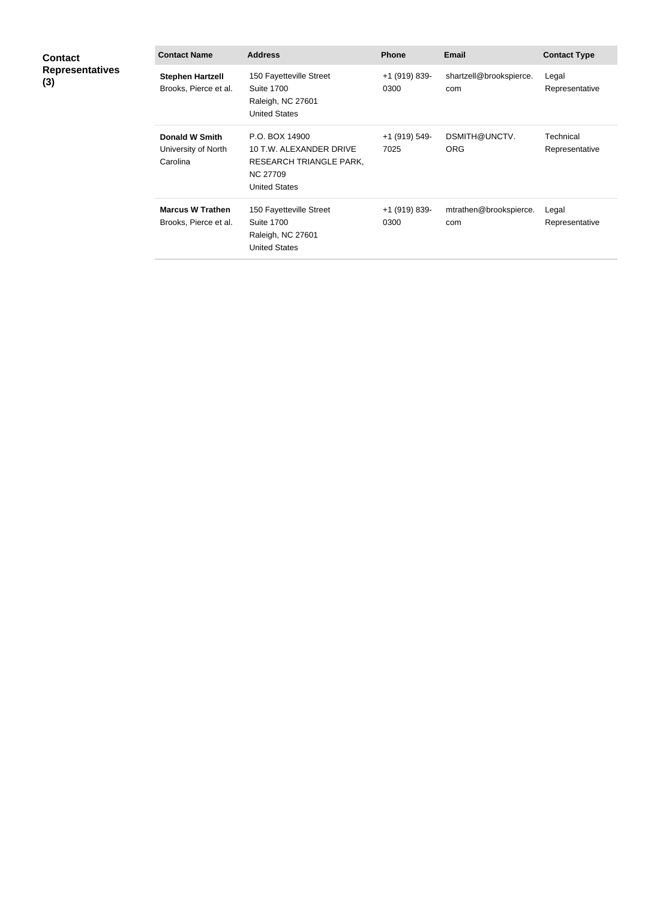| <b>Contact</b><br><b>Representatives</b><br>(3) | <b>Contact Name</b>                                      | <b>Address</b>                                                                                                  | <b>Phone</b>          | <b>Email</b>                   | <b>Contact Type</b>         |
|-------------------------------------------------|----------------------------------------------------------|-----------------------------------------------------------------------------------------------------------------|-----------------------|--------------------------------|-----------------------------|
|                                                 | <b>Stephen Hartzell</b><br>Brooks, Pierce et al.         | 150 Fayetteville Street<br><b>Suite 1700</b><br>Raleigh, NC 27601<br><b>United States</b>                       | +1 (919) 839-<br>0300 | shartzell@brookspierce.<br>com | Legal<br>Representative     |
|                                                 | <b>Donald W Smith</b><br>University of North<br>Carolina | P.O. BOX 14900<br>10 T.W. ALEXANDER DRIVE<br>RESEARCH TRIANGLE PARK,<br><b>NC 27709</b><br><b>United States</b> | +1 (919) 549-<br>7025 | DSMITH@UNCTV.<br><b>ORG</b>    | Technical<br>Representative |
|                                                 | <b>Marcus W Trathen</b><br>Brooks, Pierce et al.         | 150 Fayetteville Street<br><b>Suite 1700</b><br>Raleigh, NC 27601<br><b>United States</b>                       | +1 (919) 839-<br>0300 | mtrathen@brookspierce.<br>com  | Legal<br>Representative     |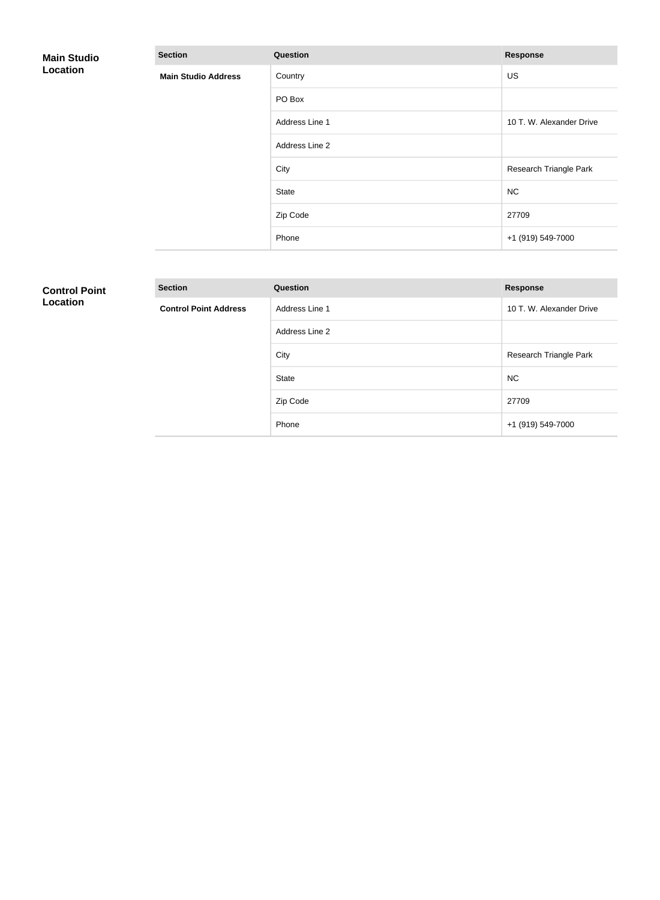| <b>Main Studio</b><br>Location | <b>Section</b>             | Question       | <b>Response</b>          |
|--------------------------------|----------------------------|----------------|--------------------------|
|                                | <b>Main Studio Address</b> | Country        | US                       |
|                                |                            | PO Box         |                          |
|                                |                            | Address Line 1 | 10 T. W. Alexander Drive |
|                                |                            | Address Line 2 |                          |
|                                |                            | City           | Research Triangle Park   |
|                                |                            | State          | <b>NC</b>                |
|                                |                            | Zip Code       | 27709                    |
|                                |                            | Phone          | +1 (919) 549-7000        |

# **Control Point Location**

| <b>Section</b>               | <b>Question</b> | <b>Response</b>          |
|------------------------------|-----------------|--------------------------|
| <b>Control Point Address</b> | Address Line 1  | 10 T. W. Alexander Drive |
|                              | Address Line 2  |                          |
|                              | City            | Research Triangle Park   |
|                              | <b>State</b>    | <b>NC</b>                |
|                              | Zip Code        | 27709                    |
|                              | Phone           | +1 (919) 549-7000        |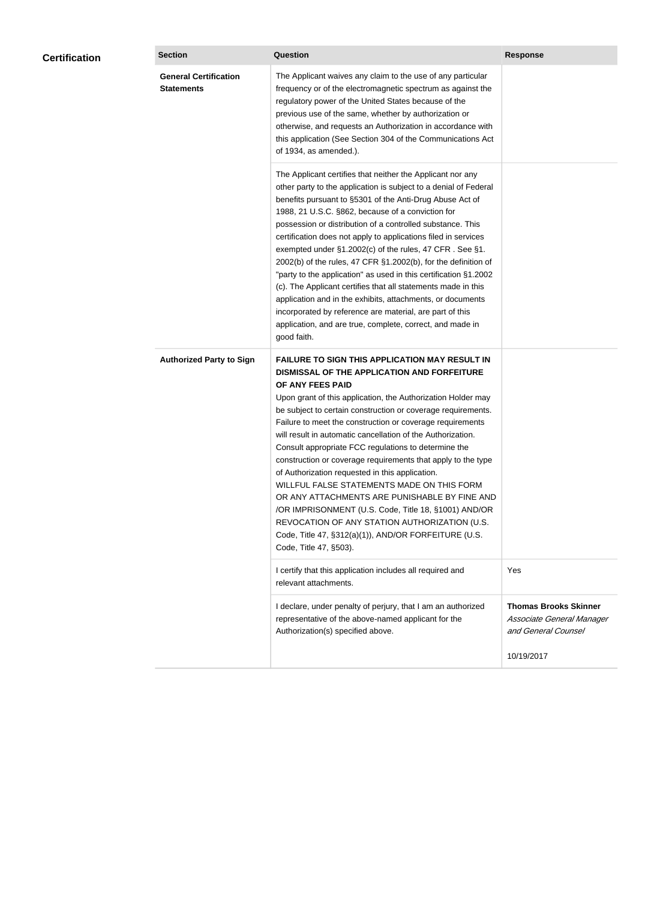| <b>Certification</b> | <b>Section</b>                                    | <b>Question</b>                                                                                                                                                                                                                                                                                                                                                                                                                                                                                                                                                                                                                                                                                                                                                                                                                                           | <b>Response</b>                                                                  |
|----------------------|---------------------------------------------------|-----------------------------------------------------------------------------------------------------------------------------------------------------------------------------------------------------------------------------------------------------------------------------------------------------------------------------------------------------------------------------------------------------------------------------------------------------------------------------------------------------------------------------------------------------------------------------------------------------------------------------------------------------------------------------------------------------------------------------------------------------------------------------------------------------------------------------------------------------------|----------------------------------------------------------------------------------|
|                      | <b>General Certification</b><br><b>Statements</b> | The Applicant waives any claim to the use of any particular<br>frequency or of the electromagnetic spectrum as against the<br>regulatory power of the United States because of the<br>previous use of the same, whether by authorization or<br>otherwise, and requests an Authorization in accordance with<br>this application (See Section 304 of the Communications Act<br>of 1934, as amended.).                                                                                                                                                                                                                                                                                                                                                                                                                                                       |                                                                                  |
|                      |                                                   | The Applicant certifies that neither the Applicant nor any<br>other party to the application is subject to a denial of Federal<br>benefits pursuant to §5301 of the Anti-Drug Abuse Act of<br>1988, 21 U.S.C. §862, because of a conviction for<br>possession or distribution of a controlled substance. This<br>certification does not apply to applications filed in services<br>exempted under §1.2002(c) of the rules, 47 CFR. See §1.<br>2002(b) of the rules, 47 CFR §1.2002(b), for the definition of<br>"party to the application" as used in this certification §1.2002<br>(c). The Applicant certifies that all statements made in this<br>application and in the exhibits, attachments, or documents<br>incorporated by reference are material, are part of this<br>application, and are true, complete, correct, and made in<br>good faith.   |                                                                                  |
|                      | <b>Authorized Party to Sign</b>                   | <b>FAILURE TO SIGN THIS APPLICATION MAY RESULT IN</b><br>DISMISSAL OF THE APPLICATION AND FORFEITURE<br>OF ANY FEES PAID<br>Upon grant of this application, the Authorization Holder may<br>be subject to certain construction or coverage requirements.<br>Failure to meet the construction or coverage requirements<br>will result in automatic cancellation of the Authorization.<br>Consult appropriate FCC regulations to determine the<br>construction or coverage requirements that apply to the type<br>of Authorization requested in this application.<br>WILLFUL FALSE STATEMENTS MADE ON THIS FORM<br>OR ANY ATTACHMENTS ARE PUNISHABLE BY FINE AND<br>/OR IMPRISONMENT (U.S. Code, Title 18, §1001) AND/OR<br>REVOCATION OF ANY STATION AUTHORIZATION (U.S.<br>Code, Title 47, §312(a)(1)), AND/OR FORFEITURE (U.S.<br>Code, Title 47, §503). |                                                                                  |
|                      |                                                   | I certify that this application includes all required and<br>relevant attachments.                                                                                                                                                                                                                                                                                                                                                                                                                                                                                                                                                                                                                                                                                                                                                                        | Yes                                                                              |
|                      |                                                   | I declare, under penalty of perjury, that I am an authorized<br>representative of the above-named applicant for the<br>Authorization(s) specified above.                                                                                                                                                                                                                                                                                                                                                                                                                                                                                                                                                                                                                                                                                                  | <b>Thomas Brooks Skinner</b><br>Associate General Manager<br>and General Counsel |
|                      |                                                   |                                                                                                                                                                                                                                                                                                                                                                                                                                                                                                                                                                                                                                                                                                                                                                                                                                                           | 10/19/2017                                                                       |